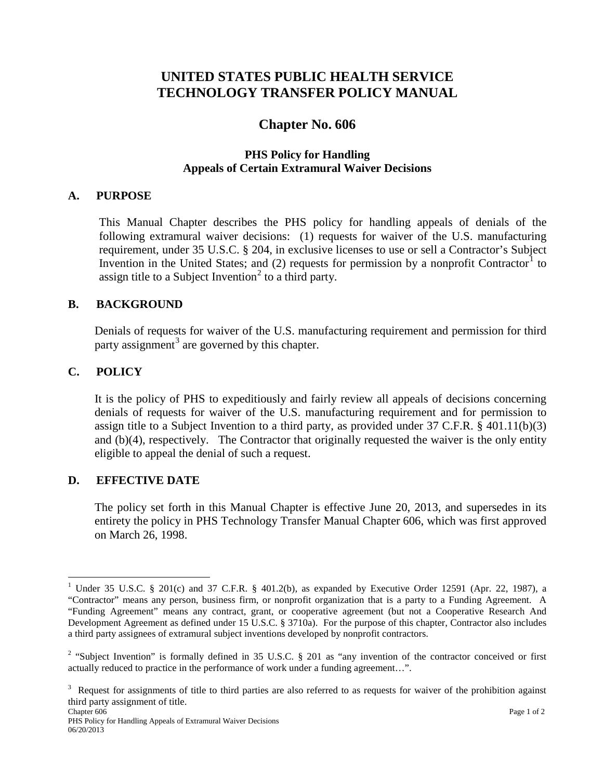# **UNITED STATES PUBLIC HEALTH SERVICE TECHNOLOGY TRANSFER POLICY MANUAL**

# **Chapter No. 606**

## **PHS Policy for Handling Appeals of Certain Extramural Waiver Decisions**

#### **A. PURPOSE**

This Manual Chapter describes the PHS policy for handling appeals of denials of the following extramural waiver decisions: (1) requests for waiver of the U.S. manufacturing requirement, under 35 U.S.C. § 204, in exclusive licenses to use or sell a Contractor's Subject Invention in the United States; and  $(2)$  requests for permission by a nonprofit Contractor<sup>[1](#page-0-0)</sup> to assign title to a Subject Invention<sup>[2](#page-0-1)</sup> to a third party.

#### **B. BACKGROUND**

Denials of requests for waiver of the U.S. manufacturing requirement and permission for third party assignment<sup>[3](#page-0-2)</sup> are governed by this chapter.

#### **C. POLICY**

It is the policy of PHS to expeditiously and fairly review all appeals of decisions concerning denials of requests for waiver of the U.S. manufacturing requirement and for permission to assign title to a Subject Invention to a third party, as provided under  $37 \text{ C.F.R.}$  §  $401.11(b)(3)$ and (b)(4), respectively. The Contractor that originally requested the waiver is the only entity eligible to appeal the denial of such a request.

#### **D. EFFECTIVE DATE**

The policy set forth in this Manual Chapter is effective June 20, 2013, and supersedes in its entirety the policy in PHS Technology Transfer Manual Chapter 606, which was first approved on March 26, 1998.

<span id="page-0-0"></span><sup>&</sup>lt;sup>1</sup> Under 35 U.S.C. § 201(c) and 37 C.F.R. § 401.2(b), as expanded by Executive Order 12591 (Apr. 22, 1987), a "Contractor" means any person, business firm, or nonprofit organization that is a party to a Funding Agreement. A "Funding Agreement" means any contract, grant, or cooperative agreement (but not a Cooperative Research And Development Agreement as defined under 15 U.S.C. § 3710a). For the purpose of this chapter, Contractor also includes a third party assignees of extramural subject inventions developed by nonprofit contractors.

<span id="page-0-1"></span> $2$  "Subject Invention" is formally defined in 35 U.S.C. § 201 as "any invention of the contractor conceived or first actually reduced to practice in the performance of work under a funding agreement…".

<span id="page-0-2"></span> $3$  Request for assignments of title to third parties are also referred to as requests for waiver of the prohibition against third party assignment of title.<br>Chapter 606